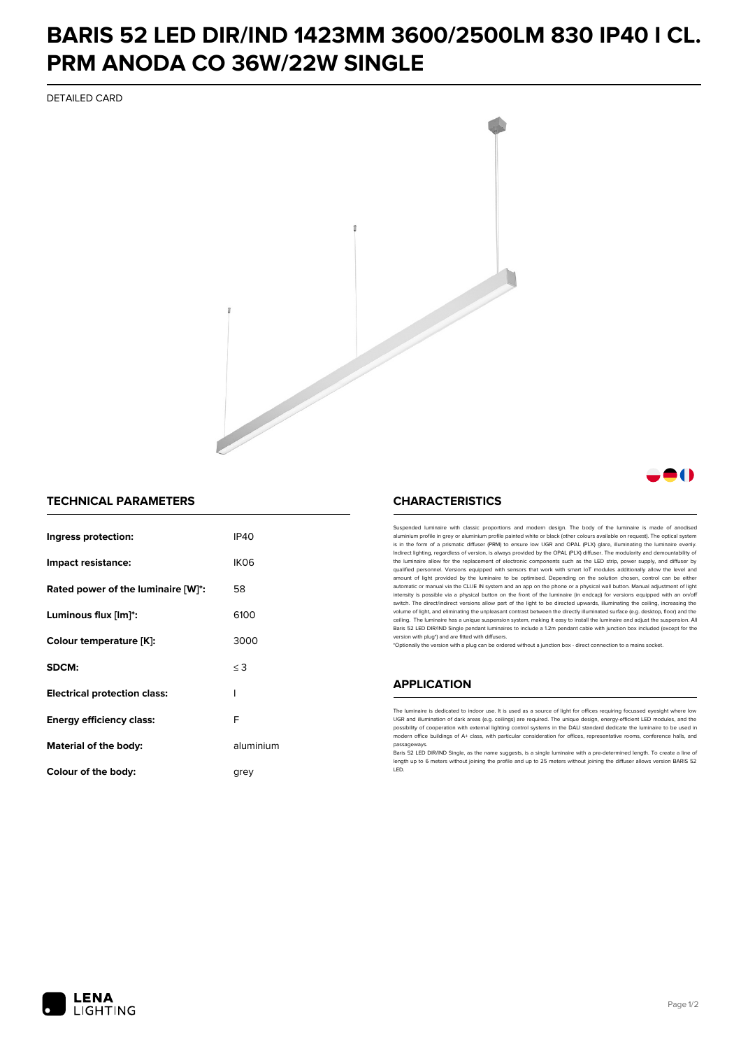## **BARIS 52 LED DIR/IND 1423MM 3600/2500LM 830 IP40 I CL. PRM ANODA CO 36W/22W SINGLE**

DETAILED CARD



### **TECHNICAL PARAMETERS**

| Ingress protection:                 | IP40      |
|-------------------------------------|-----------|
| Impact resistance:                  | IK06      |
| Rated power of the luminaire [W]*:  | 58        |
| Luminous flux [lm]*:                | 6100      |
| Colour temperature [K]:             | 3000      |
| SDCM:                               | $\leq$ 3  |
| <b>Electrical protection class:</b> | ı         |
| Energy efficiency class:            | F         |
| Material of the body:               | aluminium |
| Colour of the body:                 | arev      |

## **CHARACTERISTICS**

Suspended luminaire with classic proportions and modern design. The body of the luminaire is made of an aluminium profile in grey or aluminium profile painted white or black (other colours available on request). The optical system is in the form of a prismatic diffuser (PRM) to ensure low UGR and OPAL (PLX) glare, illuminating the luminaire evenly.<br>Indirect lighting, regardless of version, is always provided by the OPAL (PLX) diffuser. The modularit the luminaire allow for the replacement of electronic components such as the LED strip, power supply, and diffuser by qualified personnel. Versions equipped with sensors that work with smart IoT modules additionally allow the level and amount of light provided by the luminaire to be optimised. Depending on the solution chosen, control can be either automatic or manual via the CLUE IN system and an app on the phone or a physical wall button. Manual adjustment of light<br>intensity is possible via a physical button on the front of the luminaire (in endcap) for versions eq switch. The direct/indirect versions allow part of the light to be directed upwards, illuminating the ceiling, increasing the volume of light, and eliminating the unpleasant contrast between the directly illuminated surface (e.g. desktop, floor) and the ceiling. The luminaire has a unique suspension system, making it easy to install the luminaire and adjust the suspension. All Baris 52 LED DIR/IND Single pendant Iuminaires to include a 1.2m pendant cable with junction box included (except for the<br>version with plug\*) and are fitted with diffusers.

\*Optionally the version with a plug can be ordered without a junction box - direct connection to a mains socket.

#### **APPLICATION**

The luminaire is dedicated to indoor use. It is used as a source of light for offices requiring focussed eyesight where low UGR and illumination of dark areas (e.g. ceilings) are required. The unique design, energy-efficient LED modules, and the<br>possibility of cooperation with external lighting control systems in the DALI standard dedicate the modern office buildings of A+ class, with particular consideration for offices, representative rooms, conference halls, and passagew

.<br>Baris 52 LED DIR/IND Single, as the name suggests, is a single luminaire with a pre-determined length. To create a line of length up to 6 meters without joining the profile and up to 25 meters without joining the diffuser allows version BARIS 52 LED.



A ( )